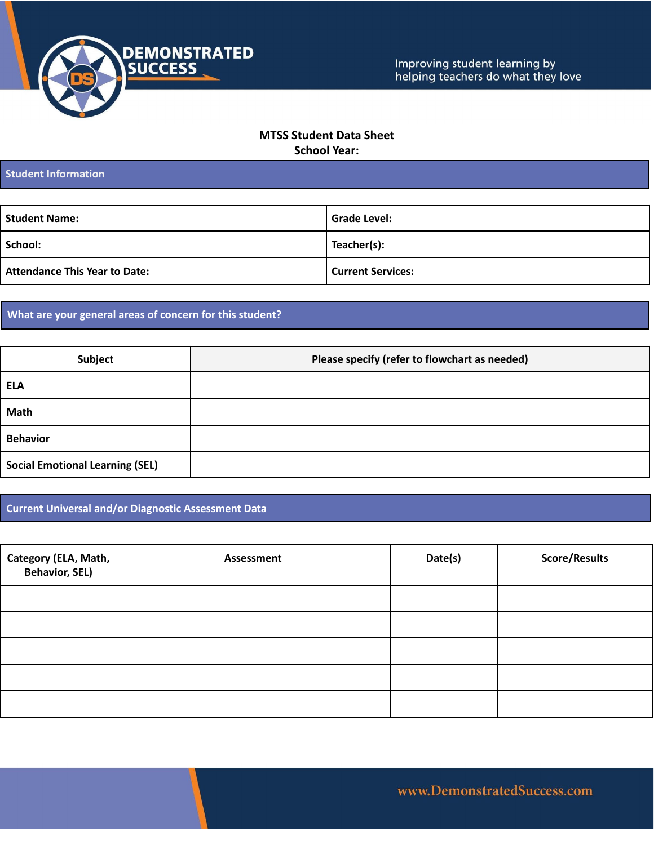

## **MTSS Student Data Sheet School Year:**

**Student Information**

| <b>Student Name:</b>                 | <b>Grade Level:</b>      |
|--------------------------------------|--------------------------|
| School:                              | Teacher(s):              |
| <b>Attendance This Year to Date:</b> | <b>Current Services:</b> |

## **What are your general areas of concern for this student?**

| Subject                                | Please specify (refer to flowchart as needed) |
|----------------------------------------|-----------------------------------------------|
| <b>ELA</b>                             |                                               |
| Math                                   |                                               |
| <b>Behavior</b>                        |                                               |
| <b>Social Emotional Learning (SEL)</b> |                                               |

**Current Universal and/or Diagnostic Assessment Data**

| Category (ELA, Math, Behavior, SEL) | <b>Assessment</b> | Date(s) | <b>Score/Results</b> |
|-------------------------------------|-------------------|---------|----------------------|
|                                     |                   |         |                      |
|                                     |                   |         |                      |
|                                     |                   |         |                      |
|                                     |                   |         |                      |
|                                     |                   |         |                      |

www.DemonstratedSuccess.com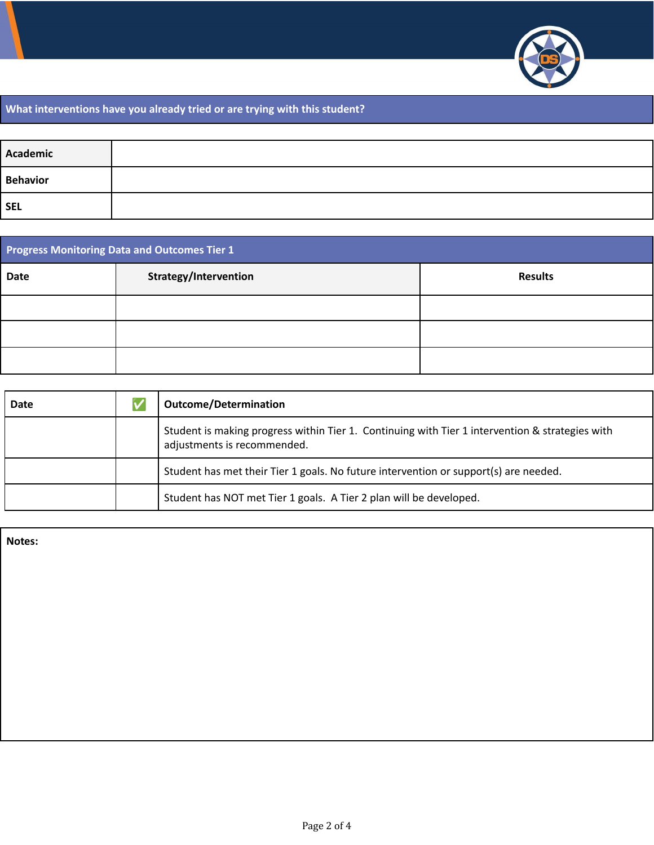

## **What interventions have you already tried or are trying with this student?**

| Academic   |  |
|------------|--|
| Behavior   |  |
| <b>SEL</b> |  |

| <b>Progress Monitoring Data and Outcomes Tier 1</b> |                       |                |
|-----------------------------------------------------|-----------------------|----------------|
| Date                                                | Strategy/Intervention | <b>Results</b> |
|                                                     |                       |                |
|                                                     |                       |                |
|                                                     |                       |                |

| Date | <b>Outcome/Determination</b>                                                                                                   |
|------|--------------------------------------------------------------------------------------------------------------------------------|
|      | Student is making progress within Tier 1. Continuing with Tier 1 intervention & strategies with<br>adjustments is recommended. |
|      | Student has met their Tier 1 goals. No future intervention or support(s) are needed.                                           |
|      | Student has NOT met Tier 1 goals. A Tier 2 plan will be developed.                                                             |

**Notes:**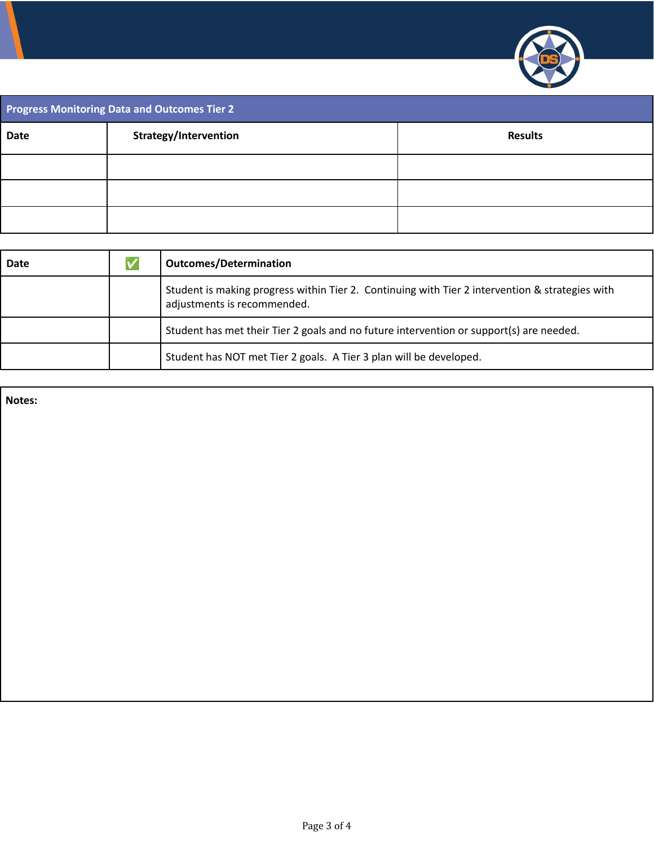

| Progress Monitoring Data and Outcomes Tier 2 |                       |                |
|----------------------------------------------|-----------------------|----------------|
| <b>Date</b>                                  | Strategy/Intervention | <b>Results</b> |
|                                              |                       |                |
|                                              |                       |                |
|                                              |                       |                |

| Date | <b>Outcomes/Determination</b>                                                                                                  |
|------|--------------------------------------------------------------------------------------------------------------------------------|
|      | Student is making progress within Tier 2. Continuing with Tier 2 intervention & strategies with<br>adjustments is recommended. |
|      | Student has met their Tier 2 goals and no future intervention or support(s) are needed.                                        |
|      | Student has NOT met Tier 2 goals. A Tier 3 plan will be developed.                                                             |

**Notes:**